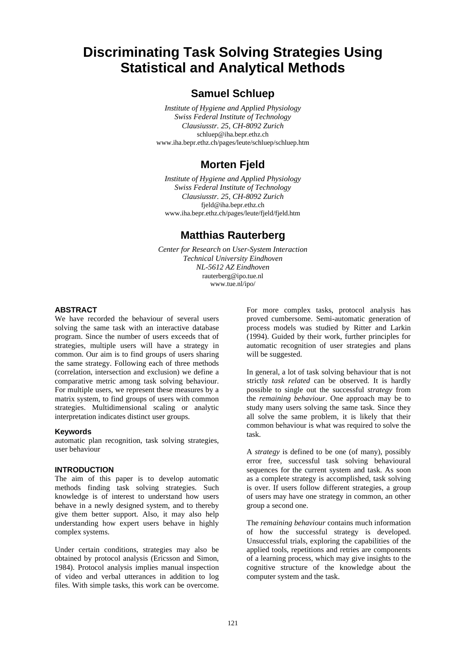# **Discriminating Task Solving Strategies Using Statistical and Analytical Methods**

### **Samuel Schluep**

*Institute of Hygiene and Applied Physiology Swiss Federal Institute of Technology Clausiusstr. 25, CH-8092 Zurich* schluep@iha.bepr.ethz.ch www.iha.bepr.ethz.ch/pages/leute/schluep/schluep.htm

## **Morten Fjeld**

*Institute of Hygiene and Applied Physiology Swiss Federal Institute of Technology Clausiusstr. 25, CH-8092 Zurich* fjeld@iha.bepr.ethz.ch www.iha.bepr.ethz.ch/pages/leute/fjeld/fjeld.htm

### **Matthias Rauterberg**

*Center for Research on User-System Interaction Technical University Eindhoven NL-5612 AZ Eindhoven* rauterberg@ipo.tue.nl www.tue.nl/ipo/

#### **ABSTRACT**

We have recorded the behaviour of several users solving the same task with an interactive database program. Since the number of users exceeds that of strategies, multiple users will have a strategy in common. Our aim is to find groups of users sharing the same strategy. Following each of three methods (correlation, intersection and exclusion) we define a comparative metric among task solving behaviour. For multiple users, we represent these measures by a matrix system, to find groups of users with common strategies. Multidimensional scaling or analytic interpretation indicates distinct user groups.

#### **Keywords**

automatic plan recognition, task solving strategies, user behaviour

#### **INTRODUCTION**

The aim of this paper is to develop automatic methods finding task solving strategies. Such knowledge is of interest to understand how users behave in a newly designed system, and to thereby give them better support. Also, it may also help understanding how expert users behave in highly complex systems.

Under certain conditions, strategies may also be obtained by protocol analysis (Ericsson and Simon, 1984). Protocol analysis implies manual inspection of video and verbal utterances in addition to log files. With simple tasks, this work can be overcome. For more complex tasks, protocol analysis has proved cumbersome. Semi-automatic generation of process models was studied by Ritter and Larkin (1994). Guided by their work, further principles for automatic recognition of user strategies and plans will be suggested.

In general, a lot of task solving behaviour that is not strictly *task related* can be observed. It is hardly possible to single out the successful *strategy* from the *remaining behaviour*. One approach may be to study many users solving the same task. Since they all solve the same problem, it is likely that their common behaviour is what was required to solve the task.

A *strategy* is defined to be one (of many), possibly error free, successful task solving behavioural sequences for the current system and task. As soon as a complete strategy is accomplished, task solving is over. If users follow different strategies, a group of users may have one strategy in common, an other group a second one.

The *remaining behaviour* contains much information of how the successful strategy is developed. Unsuccessful trials, exploring the capabilities of the applied tools, repetitions and retries are components of a learning process, which may give insights to the cognitive structure of the knowledge about the computer system and the task.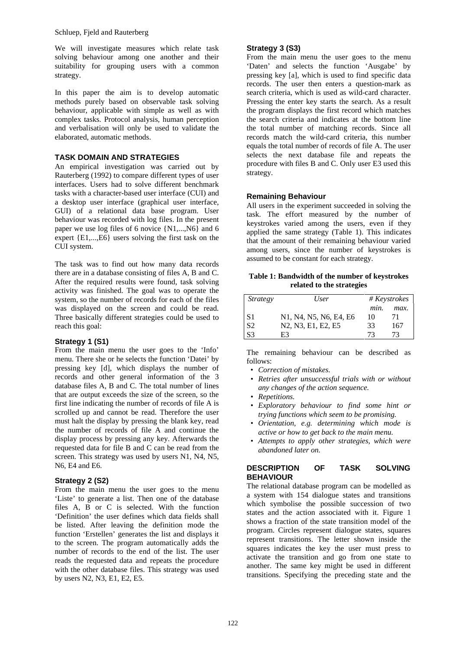We will investigate measures which relate task solving behaviour among one another and their suitability for grouping users with a common strategy.

In this paper the aim is to develop automatic methods purely based on observable task solving behaviour, applicable with simple as well as with complex tasks. Protocol analysis, human perception and verbalisation will only be used to validate the elaborated, automatic methods.

#### **TASK DOMAIN AND STRATEGIES**

An empirical investigation was carried out by Rauterberg (1992) to compare different types of user interfaces. Users had to solve different benchmark tasks with a character-based user interface (CUI) and a desktop user interface (graphical user interface, GUI) of a relational data base program. User behaviour was recorded with log files. In the present paper we use log files of 6 novice  $\{N1, \ldots, N6\}$  and 6 expert {E1,...,E6} users solving the first task on the CUI system.

The task was to find out how many data records there are in a database consisting of files A, B and C. After the required results were found, task solving activity was finished. The goal was to operate the system, so the number of records for each of the files was displayed on the screen and could be read. Three basically different strategies could be used to reach this goal:

#### **Strategy 1 (S1)**

From the main menu the user goes to the 'Info' menu. There she or he selects the function 'Datei' by pressing key [d], which displays the number of records and other general information of the 3 database files A, B and C. The total number of lines that are output exceeds the size of the screen, so the first line indicating the number of records of file A is scrolled up and cannot be read. Therefore the user must halt the display by pressing the blank key, read the number of records of file A and continue the display process by pressing any key. Afterwards the requested data for file B and C can be read from the screen. This strategy was used by users N1, N4, N5, N6, E4 and E6.

#### **Strategy 2 (S2)**

From the main menu the user goes to the menu 'Liste' to generate a list. Then one of the database files A, B or C is selected. With the function 'Definition' the user defines which data fields shall be listed. After leaving the definition mode the function 'Erstellen' generates the list and displays it to the screen. The program automatically adds the number of records to the end of the list. The user reads the requested data and repeats the procedure with the other database files. This strategy was used by users N2, N3, E1, E2, E5.

#### **Strategy 3 (S3)**

From the main menu the user goes to the menu 'Daten' and selects the function 'Ausgabe' by pressing key [a], which is used to find specific data records. The user then enters a question-mark as search criteria, which is used as wild-card character. Pressing the enter key starts the search. As a result the program displays the first record which matches the search criteria and indicates at the bottom line the total number of matching records. Since all records match the wild-card criteria, this number equals the total number of records of file A. The user selects the next database file and repeats the procedure with files B and C. Only user E3 used this strategy.

#### **Remaining Behaviour**

All users in the experiment succeeded in solving the task. The effort measured by the number of keystrokes varied among the users, even if they applied the same strategy (Table 1). This indicates that the amount of their remaining behaviour varied among users, since the number of keystrokes is assumed to be constant for each strategy.

**Table 1: Bandwidth of the number of keystrokes related to the strategies**

| <b>Strategy</b> | User                                                                               | # Keystrokes |      |  |
|-----------------|------------------------------------------------------------------------------------|--------------|------|--|
|                 |                                                                                    | min.         | max. |  |
| -S1             | N1, N4, N5, N6, E4, E6                                                             | 10           |      |  |
| S <sub>2</sub>  | N <sub>2</sub> , N <sub>3</sub> , E <sub>1</sub> , E <sub>2</sub> , E <sub>5</sub> | 33           | 167  |  |
| S <sub>3</sub>  | F3                                                                                 | 73           | 73   |  |

The remaining behaviour can be described as follows:

- *Correction of mistakes.*
- *Retries after unsuccessful trials with or without any changes of the action sequence.*
- *Repetitions.*
- *Exploratory behaviour to find some hint or trying functions which seem to be promising.*
- *Orientation, e.g. determining which mode is active or how to get back to the main menu.*
- *Attempts to apply other strategies, which were abandoned later on.*

#### **DESCRIPTION OF TASK SOLVING BEHAVIOUR**

The relational database program can be modelled as a system with 154 dialogue states and transitions which symbolise the possible succession of two states and the action associated with it. Figure 1 shows a fraction of the state transition model of the program. Circles represent dialogue states, squares represent transitions. The letter shown inside the squares indicates the key the user must press to activate the transition and go from one state to another. The same key might be used in different transitions. Specifying the preceding state and the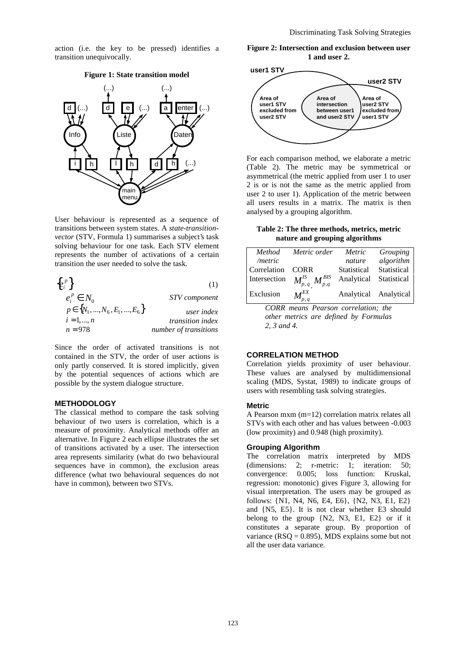action (i.e. the key to be pressed) identifies a transition unequivocally.

#### **Figure 1: State transition model**



User behaviour is represented as a sequence of transitions between system states. A *state-transitionvector* (STV, Formula 1) summarises a subject's task solving behaviour for one task. Each STV element represents the number of activations of a certain transition the user needed to solve the task.

| $\{e_i^p\}$                        | (1)                     |
|------------------------------------|-------------------------|
| $e_i^p \in N_0$                    | STV component           |
| $p \in \{N_1, , N_6, E_1, , E_6\}$ | user index              |
| $i = 1, , n$                       | <i>transition index</i> |
| $n = 978$                          | number of transitions   |

Since the order of activated transitions is not contained in the STV, the order of user actions is only partly conserved. It is stored implicitly, given by the potential sequences of actions which are possible by the system dialogue structure.

#### **METHODOLOGY**

The classical method to compare the task solving behaviour of two users is correlation, which is a measure of proximity. Analytical methods offer an alternative. In Figure 2 each ellipse illustrates the set of transitions activated by a user. The intersection area represents similarity (what do two behavioural sequences have in common), the exclusion areas difference (what two behavioural sequences do not have in common), between two STVs.

**Figure 2: Intersection and exclusion between user 1 and user 2.**



For each comparison method, we elaborate a metric (Table 2). The metric may be symmetrical or asymmetrical (the metric applied from user 1 to user 2 is or is not the same as the metric applied from user 2 to user 1). Application of the metric between all users results in a matrix. The matrix is then analysed by a grouping algorithm.

**Table 2: The three methods, metrics, metric nature and grouping algorithms**

| Method          | Metric order                                           | Metric      | Grouping              |
|-----------------|--------------------------------------------------------|-------------|-----------------------|
| / <i>metric</i> |                                                        | nature      | algorithm             |
| Correlation     | <b>CORR</b>                                            | Statistical | Statistical           |
| Intersection    | $\left\langle M_{p,q}^{IS}\right\rangle M_{p,q}^{BIS}$ | Analytical  | Statistical           |
| Exclusion       | $M_{_{p,\,q}}^{E\!X}$                                  |             | Analytical Analytical |

*CORR means Pearson correlation; the other metrics are defined by Formulas 2, 3 and 4.*

#### **CORRELATION METHOD**

Correlation yields proximity of user behaviour. These values are analysed by multidimensional scaling (MDS, Systat, 1989) to indicate groups of users with resembling task solving strategies.

#### **Metric**

A Pearson mxm (m=12) correlation matrix relates all STVs with each other and has values between -0.003 (low proximity) and 0.948 (high proximity).

#### **Grouping Algorithm**

The correlation matrix interpreted by MDS (dimensions: 2; r-metric: 1; iteration: 50; convergence: 0.005; loss function: Kruskal, regression: monotonic) gives Figure 3, allowing for visual interpretation. The users may be grouped as follows: {N1, N4, N6, E4, E6}, {N2, N3, E1, E2} and {N5, E5}. It is not clear whether E3 should belong to the group {N2, N3, E1, E2} or if it constitutes a separate group. By proportion of variance ( $RSQ = 0.895$ ), MDS explains some but not all the user data variance.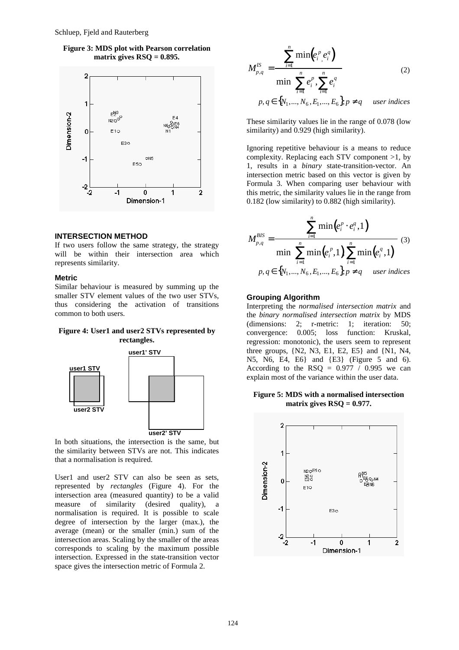**Figure 3: MDS plot with Pearson correlation matrix gives RSQ = 0.895.**



#### **INTERSECTION METHOD**

If two users follow the same strategy, the strategy will be within their intersection area which represents similarity.

#### **Metric**

Similar behaviour is measured by summing up the smaller STV element values of the two user STVs, thus considering the activation of transitions common to both users.

#### **Figure 4: User1 and user2 STVs represented by rectangles.**



In both situations, the intersection is the same, but the similarity between STVs are not. This indicates that a normalisation is required.

User1 and user2 STV can also be seen as sets, represented by *rectangles* (Figure 4). For the intersection area (measured quantity) to be a valid measure of similarity (desired quality), a normalisation is required. It is possible to scale degree of intersection by the larger (max.), the average (mean) or the smaller (min.) sum of the intersection areas. Scaling by the smaller of the areas corresponds to scaling by the maximum possible intersection. Expressed in the state-transition vector space gives the intersection metric of Formula 2.

$$
M_{p,q}^{IS} = \frac{\sum_{i=1}^{n} \min(e_i^p, e_i^q)}{\min(\sum_{i=1}^{n} e_i^p, \sum_{i=1}^{n} e_i^q)}
$$
(2)  

$$
p, q \in \{N_1, ..., N_6, E_1, ..., E_6\}, p \neq q
$$
user indices

These similarity values lie in the range of 0.078 (low similarity) and 0.929 (high similarity).

Ignoring repetitive behaviour is a means to reduce complexity. Replacing each STV component >1, by 1, results in a *binary* state-transition-vector. An intersection metric based on this vector is given by Formula 3. When comparing user behaviour with this metric, the similarity values lie in the range from 0.182 (low similarity) to 0.882 (high similarity).

$$
M_{p,q}^{BIS} = \frac{\sum_{i=1}^{n} \min(e_i^p \cdot e_i^q, 1)}{\min(\sum_{i=1}^{n} \min(e_i^p, 1) \sum_{i=1}^{n} \min(e_i^q, 1))})^{(3)}
$$
  
 $p, q \in \{N_1, ..., N_6, E_1, ..., E_6\}, p \neq q$  user indices

#### **Grouping Algorithm**

Interpreting the *normalised intersection matrix* and the *binary normalised intersection matrix* by MDS (dimensions: 2; r-metric: 1; iteration: 50;<br>convergence: 0.005; loss function: Kruskal, convergence: 0.005; loss function: Kruskal, regression: monotonic), the users seem to represent three groups, {N2, N3, E1, E2, E5} and {N1, N4, N5, N6, E4, E6} and {E3} (Figure 5 and 6). According to the  $\text{RSQ} = 0.977 / 0.995$  we can explain most of the variance within the user data.

#### **Figure 5: MDS with a normalised intersection matrix gives RSQ = 0.977.**

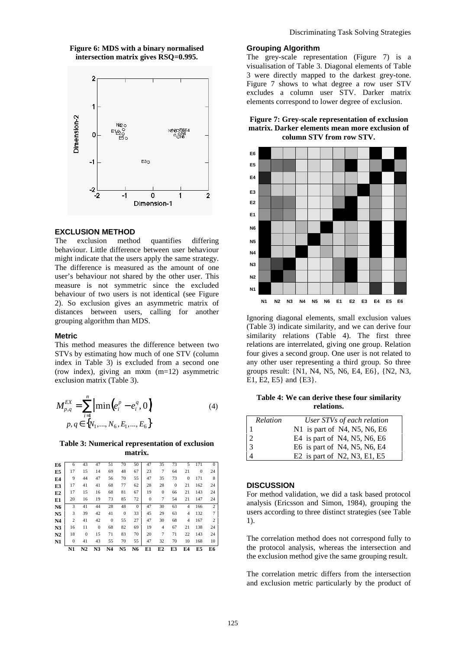#### **Figure 6: MDS with a binary normalised intersection matrix gives RSQ=0.995.**



#### **EXCLUSION METHOD**

The exclusion method quantifies differing behaviour. Little difference between user behaviour might indicate that the users apply the same strategy. The difference is measured as the amount of one user's behaviour not shared by the other user. This measure is not symmetric since the excluded behaviour of two users is not identical (see Figure 2). So exclusion gives an asymmetric matrix of distances between users, calling for another grouping algorithm than MDS.

#### **Metric**

This method measures the difference between two STVs by estimating how much of one STV (column index in Table 3) is excluded from a second one (row index), giving an mxm (m=12) asymmetric exclusion matrix (Table 3).

$$
M_{p,q}^{EX} = \sum_{i=1}^{n} \left| \min(e_i^p - e_i^q, 0) \right|
$$
  
  $p, q \in \{N_1, ..., N_6, E_1, ..., E_6\}$  (4)

**Table 3: Numerical representation of exclusion matrix.**

|                | N1             | N2           | N <sub>3</sub> | N <sub>4</sub> | N <sub>5</sub> | N <sub>6</sub> | E1           | E2             | E3           | E4             | E5       | E6             |
|----------------|----------------|--------------|----------------|----------------|----------------|----------------|--------------|----------------|--------------|----------------|----------|----------------|
| N1             | $\mathbf{0}$   | 41           | 43             | 55             | 70             | 55             | 47           | 32             | 70           | 10             | 168      | 10             |
| N2             | 18             | $\mathbf{0}$ | 15             | 71             | 83             | 70             | 20           | 7              | 71           | 22             | 143      | 24             |
| N <sub>3</sub> | 16             | 11           | $\mathbf{0}$   | 68             | 82             | 69             | 19           | $\overline{4}$ | 67           | 21             | 138      | 24             |
| N4             | $\overline{c}$ | 41           | 42             | $\mathbf{0}$   | 55             | 27             | 47           | 30             | 68           | 4              | 167      | 2              |
| N <sub>5</sub> | 3              | 39           | 42             | 41             | $\mathbf{0}$   | 33             | 45           | 29             | 63           | 4              | 132      | $\overline{7}$ |
| N6             | 3              | 41           | 44             | 28             | 48             | $\theta$       | 47           | 30             | 63           | $\overline{4}$ | 166      | 2              |
| E1             | 20             | 16           | 19             | 73             | 85             | 72             | $\mathbf{0}$ | 7              | 54           | 21             | 147      | 24             |
| E2             | 17             | 15           | 16             | 68             | 81             | 67             | 19           | $\mathbf{0}$   | 66           | 21             | 143      | 24             |
| E3             | 17             | 41           | 41             | 68             | 77             | 62             | 28           | 28             | $\mathbf{0}$ | 21             | 162      | 24             |
| E4             | 9              | 44           | 47             | 56             | 70             | 55             | 47           | 35             | 73           | $\Omega$       | 171      | 8              |
| E5             | 17             | 15           | 14             | 69             | 48             | 67             | 23           | 7              | 64           | 21             | $\Omega$ | 24             |
| E6             | 6              | 43           | 47             | 51             | 70             | 50             | 47           | 35             | 73           | 5              | 171      | $\mathbf{0}$   |

#### **Grouping Algorithm**

The grey-scale representation (Figure 7) is a visualisation of Table 3. Diagonal elements of Table 3 were directly mapped to the darkest grey-tone. Figure 7 shows to what degree a row user STV excludes a column user STV. Darker matrix elements correspond to lower degree of exclusion.

#### **Figure 7: Grey-scale representation of exclusion matrix. Darker elements mean more exclusion of column STV from row STV.**



Ignoring diagonal elements, small exclusion values (Table 3) indicate similarity, and we can derive four similarity relations (Table 4). The first three relations are interrelated, giving one group. Relation four gives a second group. One user is not related to any other user representing a third group. So three groups result: {N1, N4, N5, N6, E4, E6}, {N2, N3, E1, E2, E5} and {E3}.

**Table 4: We can derive these four similarity relations.**

| Relation                                            | User STVs of each relation            |
|-----------------------------------------------------|---------------------------------------|
|                                                     | N1 is part of N4, N5, N6, E6          |
|                                                     | E4 is part of N4, N5, N6, E6          |
| $\begin{array}{ c c }\n2 & 3 \\ 3 & 4\n\end{array}$ | E6 is part of $N4$ , $N5$ , $N6$ , E4 |
|                                                     | E2 is part of $N2$ , $N3$ , E1, E5    |

#### **DISCUSSION**

For method validation, we did a task based protocol analysis (Ericsson and Simon, 1984), grouping the users according to three distinct strategies (see Table 1).

The correlation method does not correspond fully to the protocol analysis, whereas the intersection and the exclusion method give the same grouping result.

The correlation metric differs from the intersection and exclusion metric particularly by the product of